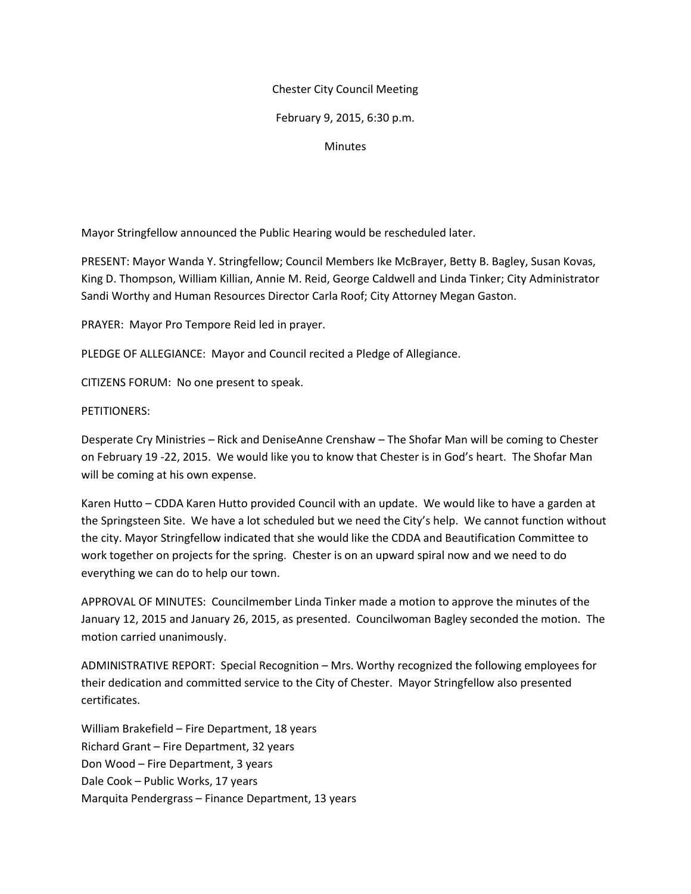## Chester City Council Meeting

# February 9, 2015, 6:30 p.m.

## **Minutes**

Mayor Stringfellow announced the Public Hearing would be rescheduled later.

PRESENT: Mayor Wanda Y. Stringfellow; Council Members Ike McBrayer, Betty B. Bagley, Susan Kovas, King D. Thompson, William Killian, Annie M. Reid, George Caldwell and Linda Tinker; City Administrator Sandi Worthy and Human Resources Director Carla Roof; City Attorney Megan Gaston.

PRAYER: Mayor Pro Tempore Reid led in prayer.

PLEDGE OF ALLEGIANCE: Mayor and Council recited a Pledge of Allegiance.

CITIZENS FORUM: No one present to speak.

PETITIONERS:

Desperate Cry Ministries – Rick and DeniseAnne Crenshaw – The Shofar Man will be coming to Chester on February 19 -22, 2015. We would like you to know that Chester is in God's heart. The Shofar Man will be coming at his own expense.

Karen Hutto – CDDA Karen Hutto provided Council with an update. We would like to have a garden at the Springsteen Site. We have a lot scheduled but we need the City's help. We cannot function without the city. Mayor Stringfellow indicated that she would like the CDDA and Beautification Committee to work together on projects for the spring. Chester is on an upward spiral now and we need to do everything we can do to help our town.

APPROVAL OF MINUTES: Councilmember Linda Tinker made a motion to approve the minutes of the January 12, 2015 and January 26, 2015, as presented. Councilwoman Bagley seconded the motion. The motion carried unanimously.

ADMINISTRATIVE REPORT: Special Recognition – Mrs. Worthy recognized the following employees for their dedication and committed service to the City of Chester. Mayor Stringfellow also presented certificates.

William Brakefield – Fire Department, 18 years Richard Grant – Fire Department, 32 years Don Wood – Fire Department, 3 years Dale Cook – Public Works, 17 years Marquita Pendergrass – Finance Department, 13 years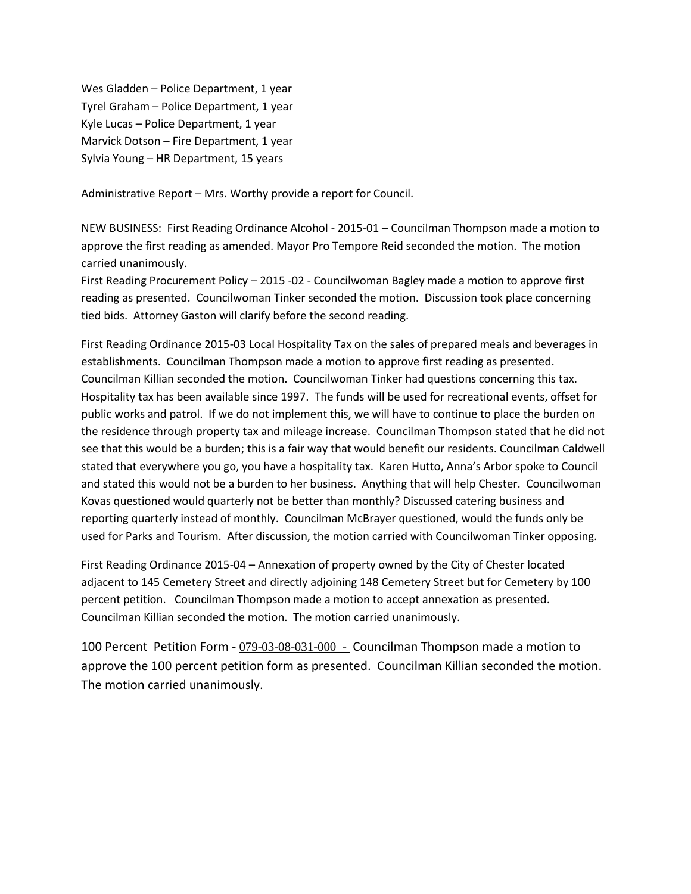Wes Gladden – Police Department, 1 year Tyrel Graham – Police Department, 1 year Kyle Lucas – Police Department, 1 year Marvick Dotson – Fire Department, 1 year Sylvia Young – HR Department, 15 years

Administrative Report – Mrs. Worthy provide a report for Council.

NEW BUSINESS: First Reading Ordinance Alcohol - 2015-01 – Councilman Thompson made a motion to approve the first reading as amended. Mayor Pro Tempore Reid seconded the motion. The motion carried unanimously.

First Reading Procurement Policy – 2015 -02 - Councilwoman Bagley made a motion to approve first reading as presented. Councilwoman Tinker seconded the motion. Discussion took place concerning tied bids. Attorney Gaston will clarify before the second reading.

First Reading Ordinance 2015-03 Local Hospitality Tax on the sales of prepared meals and beverages in establishments. Councilman Thompson made a motion to approve first reading as presented. Councilman Killian seconded the motion. Councilwoman Tinker had questions concerning this tax. Hospitality tax has been available since 1997. The funds will be used for recreational events, offset for public works and patrol. If we do not implement this, we will have to continue to place the burden on the residence through property tax and mileage increase. Councilman Thompson stated that he did not see that this would be a burden; this is a fair way that would benefit our residents. Councilman Caldwell stated that everywhere you go, you have a hospitality tax. Karen Hutto, Anna's Arbor spoke to Council and stated this would not be a burden to her business. Anything that will help Chester. Councilwoman Kovas questioned would quarterly not be better than monthly? Discussed catering business and reporting quarterly instead of monthly. Councilman McBrayer questioned, would the funds only be used for Parks and Tourism. After discussion, the motion carried with Councilwoman Tinker opposing.

First Reading Ordinance 2015-04 – Annexation of property owned by the City of Chester located adjacent to 145 Cemetery Street and directly adjoining 148 Cemetery Street but for Cemetery by 100 percent petition. Councilman Thompson made a motion to accept annexation as presented. Councilman Killian seconded the motion. The motion carried unanimously.

100 Percent Petition Form - 079-03-08-031-000 - Councilman Thompson made a motion to approve the 100 percent petition form as presented. Councilman Killian seconded the motion. The motion carried unanimously.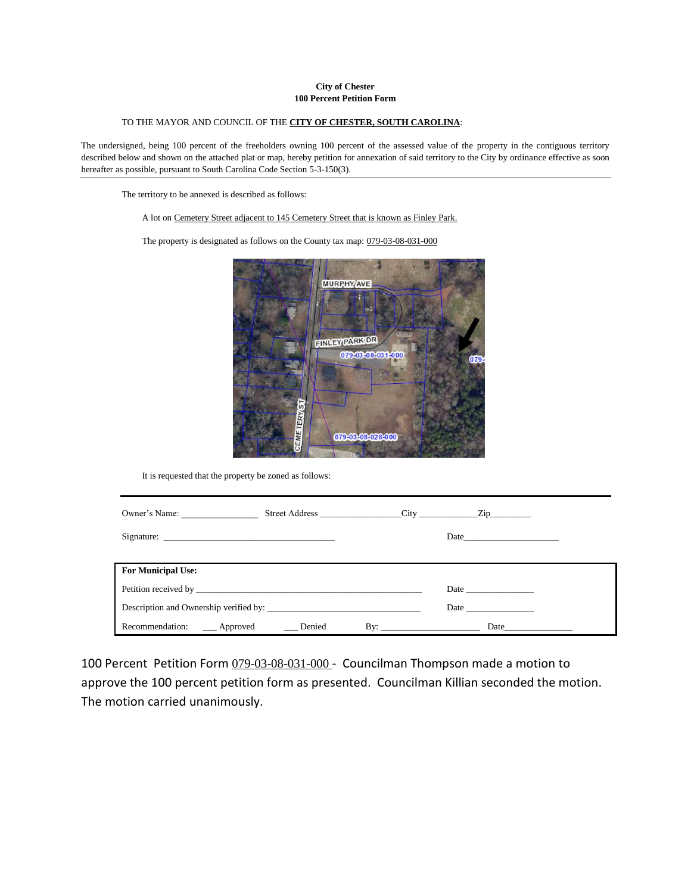### **City of Chester 100 Percent Petition Form**

### TO THE MAYOR AND COUNCIL OF THE **CITY OF CHESTER, SOUTH CAROLINA**:

The undersigned, being 100 percent of the freeholders owning 100 percent of the assessed value of the property in the contiguous territory described below and shown on the attached plat or map, hereby petition for annexation of said territory to the City by ordinance effective as soon hereafter as possible, pursuant to South Carolina Code Section 5-3-150(3).

The territory to be annexed is described as follows:

A lot on Cemetery Street adjacent to 145 Cemetery Street that is known as Finley Park.

The property is designated as follows on the County tax map: 079-03-08-031-000



It is requested that the property be zoned as follows:

| Owner's Name:                                |     |                                                                                                                                                                                                                               |  |
|----------------------------------------------|-----|-------------------------------------------------------------------------------------------------------------------------------------------------------------------------------------------------------------------------------|--|
|                                              |     | Date                                                                                                                                                                                                                          |  |
|                                              |     |                                                                                                                                                                                                                               |  |
| <b>For Municipal Use:</b>                    |     |                                                                                                                                                                                                                               |  |
|                                              |     |                                                                                                                                                                                                                               |  |
| Description and Ownership verified by:       |     | Date and the same state of the state of the state of the state of the state of the state of the state of the state of the state of the state of the state of the state of the state of the state of the state of the state of |  |
| Recommendation: _____ Approved ______ Denied | By: |                                                                                                                                                                                                                               |  |

100 Percent Petition Form 079-03-08-031-000 - Councilman Thompson made a motion to approve the 100 percent petition form as presented. Councilman Killian seconded the motion. The motion carried unanimously.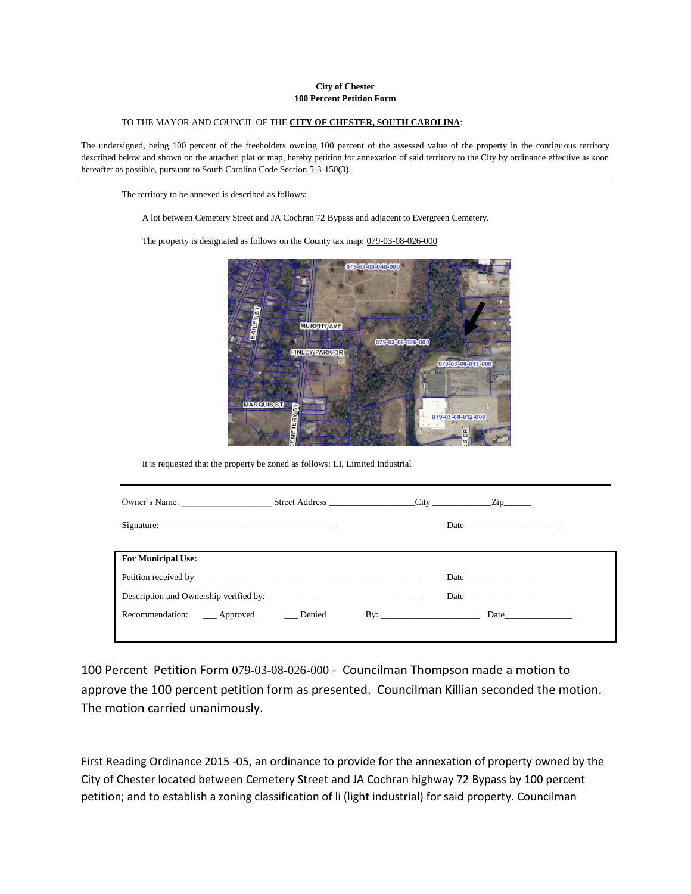### **City of Chester 100 Percent Petition Form**

#### TO THE MAYOR AND COUNCIL OF THE **CITY OF CHESTER, SOUTH CAROLINA**:

The undersigned, being 100 percent of the freeholders owning 100 percent of the assessed value of the property in the contiguous territory described below and shown on the attached plat or map, hereby petition for annexation of said territory to the City by ordinance effective as soon hereafter as possible, pursuant to South Carolina Code Section 5-3-150(3).

The territory to be annexed is described as follows:

### A lot between Cemetery Street and JA Cochran 72 Bypass and adjacent to Evergreen Cemetery.

The property is designated as follows on the County tax map: 079-03-08-026-000



It is requested that the property be zoned as follows: LI, Limited Industrial

| Owner's Name: Street Address City City Zip   |                           |                                                                                                                                                                                                                               |
|----------------------------------------------|---------------------------|-------------------------------------------------------------------------------------------------------------------------------------------------------------------------------------------------------------------------------|
|                                              |                           | Date $\qquad \qquad$                                                                                                                                                                                                          |
|                                              |                           |                                                                                                                                                                                                                               |
| <b>For Municipal Use:</b>                    |                           |                                                                                                                                                                                                                               |
|                                              |                           |                                                                                                                                                                                                                               |
| Description and Ownership verified by:       |                           | Date and the same state of the state of the state of the state of the state of the state of the state of the state of the state of the state of the state of the state of the state of the state of the state of the state of |
| Recommendation: _____ Approved ______ Denied | $\mathbf{B} \mathbf{y}$ : |                                                                                                                                                                                                                               |
|                                              |                           |                                                                                                                                                                                                                               |

100 Percent Petition Form 079-03-08-026-000 - Councilman Thompson made a motion to approve the 100 percent petition form as presented. Councilman Killian seconded the motion. The motion carried unanimously.

First Reading Ordinance 2015 -05, an ordinance to provide for the annexation of property owned by the City of Chester located between Cemetery Street and JA Cochran highway 72 Bypass by 100 percent petition; and to establish a zoning classification of li (light industrial) for said property. Councilman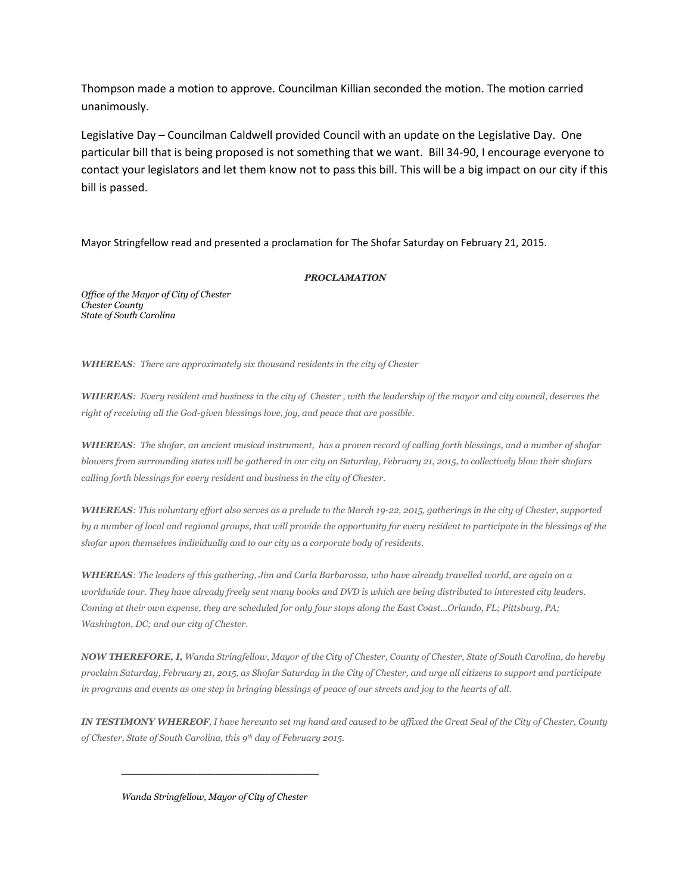Thompson made a motion to approve. Councilman Killian seconded the motion. The motion carried unanimously.

Legislative Day – Councilman Caldwell provided Council with an update on the Legislative Day. One particular bill that is being proposed is not something that we want. Bill 34-90, I encourage everyone to contact your legislators and let them know not to pass this bill. This will be a big impact on our city if this bill is passed.

Mayor Stringfellow read and presented a proclamation for The Shofar Saturday on February 21, 2015.

## *PROCLAMATION*

*Office of the Mayor of City of Chester Chester County State of South Carolina*

*WHEREAS: There are approximately six thousand residents in the city of Chester*

*WHEREAS: Every resident and business in the city of Chester , with the leadership of the mayor and city council, deserves the right of receiving all the God-given blessings love, joy, and peace that are possible.* 

*WHEREAS: The shofar, an ancient musical instrument, has a proven record of calling forth blessings, and a number of shofar blowers from surrounding states will be gathered in our city on Saturday, February 21, 2015, to collectively blow their shofars calling forth blessings for every resident and business in the city of Chester.*

*WHEREAS: This voluntary effort also serves as a prelude to the March 19-22, 2015, gatherings in the city of Chester, supported by a number of local and regional groups, that will provide the opportunity for every resident to participate in the blessings of the shofar upon themselves individually and to our city as a corporate body of residents.*

*WHEREAS: The leaders of this gathering, Jim and Carla Barbarossa, who have already travelled world, are again on a worldwide tour. They have already freely sent many books and DVD is which are being distributed to interested city leaders. Coming at their own expense, they are scheduled for only four stops along the East Coast…Orlando, FL; Pittsburg, PA; Washington, DC; and our city of Chester.*

*NOW THEREFORE, I, Wanda Stringfellow, Mayor of the City of Chester, County of Chester, State of South Carolina, do hereby proclaim Saturday, February 21, 2015, as Shofar Saturday in the City of Chester, and urge all citizens to support and participate in programs and events as one step in bringing blessings of peace of our streets and joy to the hearts of all.*

*IN TESTIMONY WHEREOF, I have hereunto set my hand and caused to be affixed the Great Seal of the City of Chester, County of Chester, State of South Carolina, this 9th day of February 2015.*

*Wanda Stringfellow, Mayor of City of Chester*

*\_\_\_\_\_\_\_\_\_\_\_\_\_\_\_\_\_\_\_\_\_\_\_\_\_\_\_\_\_\_\_\_\_\_\_\_\_\_\_\_\_\_\_\_*